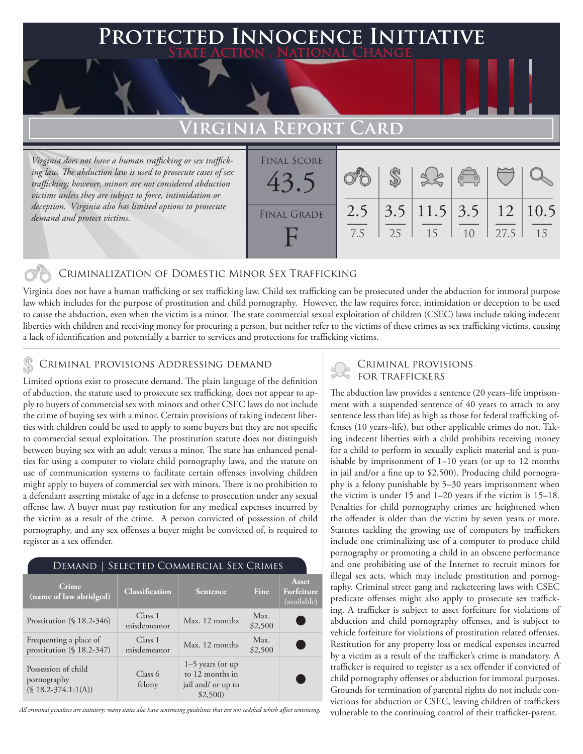### **PTED INNOCENCE INITIATIVE State Action . National Change.**

# **Virginia Report Card**

*Virginia does not have a human trafficking or sex trafficking law. The abduction law is used to prosecute cases of sex trafficking; however, minors are not considered abduction victims unless they are subject to force, intimidation or deception. Virginia also has limited options to prosecute demand and protect victims.*

| <b>FINAL SCORE</b><br>43. |            |    |                                      | $\sqrt{\frac{1}{10}}$ |      |    |
|---------------------------|------------|----|--------------------------------------|-----------------------|------|----|
| <b>FINAL GRADE</b>        | 2.5<br>7.5 | 25 | $3.5$   11.5   3.5   12   10.5<br>15 | 1 <sub>0</sub>        | 27.5 | 15 |

### Criminalization of Domestic Minor Sex Trafficking

Virginia does not have a human trafficking or sex trafficking law. Child sex trafficking can be prosecuted under the abduction for immoral purpose law which includes for the purpose of prostitution and child pornography. However, the law requires force, intimidation or deception to be used to cause the abduction, even when the victim is a minor. The state commercial sexual exploitation of children (CSEC) laws include taking indecent liberties with children and receiving money for procuring a person, but neither refer to the victims of these crimes as sex trafficking victims, causing a lack of identification and potentially a barrier to services and protections for trafficking victims.

# CRIMINAL PROVISIONS ADDRESSING DEMAND<br>
FOR TRAFFICKERS

Limited options exist to prosecute demand. The plain language of the definition of abduction, the statute used to prosecute sex trafficking, does not appear to apply to buyers of commercial sex with minors and other CSEC laws do not include the crime of buying sex with a minor. Certain provisions of taking indecent liberties with children could be used to apply to some buyers but they are not specific to commercial sexual exploitation. The prostitution statute does not distinguish between buying sex with an adult versus a minor. The state has enhanced penalties for using a computer to violate child pornography laws, and the statute on use of communication systems to facilitate certain offenses involving children might apply to buyers of commercial sex with minors. There is no prohibition to a defendant asserting mistake of age in a defense to prosecution under any sexual offense law. A buyer must pay restitution for any medical expenses incurred by the victim as a result of the crime. A person convicted of possession of child pornography, and any sex offenses a buyer might be convicted of, is required to register as a sex offender.

| SELECTED COMMERCIAL SEX CRIMES<br>Demand                      |                        |                                                                        |                 |                                    |  |  |  |  |
|---------------------------------------------------------------|------------------------|------------------------------------------------------------------------|-----------------|------------------------------------|--|--|--|--|
| Crime<br>(name of law abridged)                               | <b>Classification</b>  | Sentence                                                               | Fine            | Asset<br>Forfeiture<br>(available) |  |  |  |  |
| Prostitution $(\S 18.2-346)$                                  | Class 1<br>misdemeanor | Max. 12 months                                                         | Max.<br>\$2,500 |                                    |  |  |  |  |
| Frequenting a place of<br>prostitution (§ 18.2-347)           | Class 1<br>misdemeanor | Max. 12 months                                                         | Max.<br>\$2,500 | n.                                 |  |  |  |  |
| Possession of child<br>pornography<br>$(S 18.2 - 374.1:1(A))$ | Class 6<br>felony      | $1-5$ years (or up<br>to 12 months in<br>jail and/ or up to<br>\$2,500 |                 |                                    |  |  |  |  |

*All criminal penalties are statutory; many states also have sentencing guidelines that are not codified which affect sentencing.* 

The abduction law provides a sentence (20 years–life imprisonment with a suspended sentence of 40 years to attach to any sentence less than life) as high as those for federal trafficking offenses (10 years–life), but other applicable crimes do not. Taking indecent liberties with a child prohibits receiving money for a child to perform in sexually explicit material and is punishable by imprisonment of 1–10 years (or up to 12 months in jail and/or a fine up to \$2,500). Producing child pornography is a felony punishable by 5–30 years imprisonment when the victim is under 15 and 1–20 years if the victim is 15–18. Penalties for child pornography crimes are heightened when the offender is older than the victim by seven years or more. Statutes tackling the growing use of computers by traffickers include one criminalizing use of a computer to produce child pornography or promoting a child in an obscene performance and one prohibiting use of the Internet to recruit minors for illegal sex acts, which may include prostitution and pornography. Criminal street gang and racketeering laws with CSEC predicate offenses might also apply to prosecute sex trafficking. A trafficker is subject to asset forfeiture for violations of abduction and child pornography offenses, and is subject to vehicle forfeiture for violations of prostitution related offenses. Restitution for any property loss or medical expenses incurred by a victim as a result of the trafficker's crime is mandatory. A trafficker is required to register as a sex offender if convicted of child pornography offenses or abduction for immoral purposes. Grounds for termination of parental rights do not include convictions for abduction or CSEC, leaving children of traffickers vulnerable to the continuing control of their trafficker-parent.